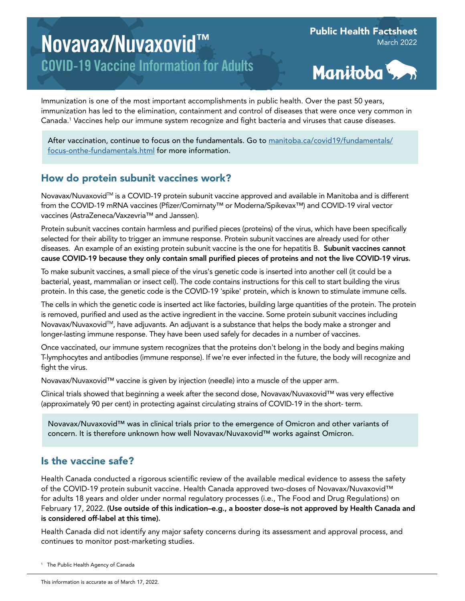# Novavax/Nuvaxovid™ COVID-19 Vaccine Information for Adults

Public Health Factsheet March 2022



Immunization is one of the most important accomplishments in public health. Over the past 50 years, immunization has led to the elimination, containment and control of diseases that were once very common in Canada.1 Vaccines help our immune system recognize and fight bacteria and viruses that cause diseases.

After vaccination, continue to focus on the fundamentals. Go to [manitoba.ca/covid19/fundamentals/](http://manitoba.ca/covid19/fundamentals/focus-onthe-fundamentals.html) [focus-onthe-fundamentals.html](http://manitoba.ca/covid19/fundamentals/focus-onthe-fundamentals.html) for more information.

## How do protein subunit vaccines work?

Novavax/Nuvaxovid™ is a COVID-19 protein subunit vaccine approved and available in Manitoba and is different from the COVID-19 mRNA vaccines (Pfizer/Comirnaty™ or Moderna/Spikevax™) and COVID-19 viral vector vaccines (AstraZeneca/Vaxzevria™ and Janssen).

Protein subunit vaccines contain harmless and purified pieces (proteins) of the virus, which have been specifically selected for their ability to trigger an immune response. Protein subunit vaccines are already used for other diseases. An example of an existing protein subunit vaccine is the one for hepatitis B. Subunit vaccines cannot cause COVID-19 because they only contain small purified pieces of proteins and not the live COVID-19 virus.

To make subunit vaccines, a small piece of the virus's genetic code is inserted into another cell (it could be a bacterial, yeast, mammalian or insect cell). The code contains instructions for this cell to start building the virus protein. In this case, the genetic code is the COVID-19 'spike' protein, which is known to stimulate immune cells.

The cells in which the genetic code is inserted act like factories, building large quantities of the protein. The protein is removed, purified and used as the active ingredient in the vaccine. Some protein subunit vaccines including Novavax/Nuvaxovid<sup>TM</sup>, have adjuvants. An adjuvant is a substance that helps the body make a stronger and longer-lasting immune response. They have been used safely for decades in a number of vaccines.

Once vaccinated, our immune system recognizes that the proteins don't belong in the body and begins making T-lymphocytes and antibodies (immune response). If we're ever infected in the future, the body will recognize and fight the virus.

Novavax/Nuvaxovid™ vaccine is given by injection (needle) into a muscle of the upper arm.

Clinical trials showed that beginning a week after the second dose, Novavax/Nuvaxovid™ was very effective (approximately 90 per cent) in protecting against circulating strains of COVID-19 in the short- term.

Novavax/Nuvaxovid™ was in clinical trials prior to the emergence of Omicron and other variants of concern. It is therefore unknown how well Novavax/Nuvaxovid™ works against Omicron.

## Is the vaccine safe?

Health Canada conducted a rigorous scientific review of the available medical evidence to assess the safety of the COVID-19 protein subunit vaccine. Health Canada approved two-doses of Novavax/Nuvaxovid™ for adults 18 years and older under normal regulatory processes (i.e., The Food and Drug Regulations) on February 17, 2022. (Use outside of this indication–e.g., a booster dose–is not approved by Health Canada and is considered off-label at this time).

Health Canada did not identify any major safety concerns during its assessment and approval process, and continues to monitor post-marketing studies.

<sup>1</sup> The Public Health Agency of Canada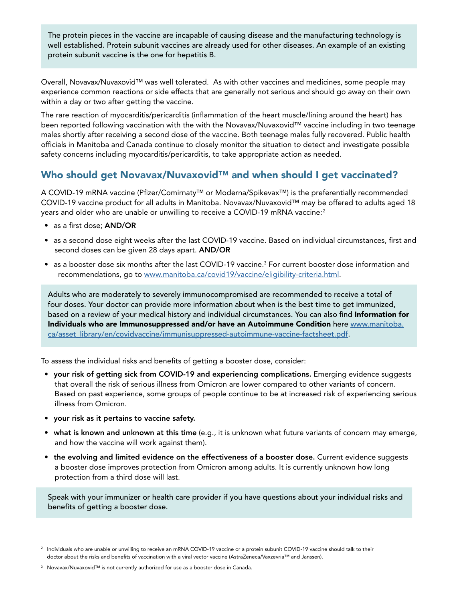The protein pieces in the vaccine are incapable of causing disease and the manufacturing technology is well established. Protein subunit vaccines are already used for other diseases. An example of an existing protein subunit vaccine is the one for hepatitis B.

Overall, Novavax/Nuvaxovid™ was well tolerated. As with other vaccines and medicines, some people may experience common reactions or side effects that are generally not serious and should go away on their own within a day or two after getting the vaccine.

The rare reaction of myocarditis/pericarditis (inflammation of the heart muscle/lining around the heart) has been reported following vaccination with the with the Novavax/Nuvaxovid™ vaccine including in two teenage males shortly after receiving a second dose of the vaccine. Both teenage males fully recovered. Public health officials in Manitoba and Canada continue to closely monitor the situation to detect and investigate possible safety concerns including myocarditis/pericarditis, to take appropriate action as needed.

## Who should get Novavax/Nuvaxovid™ and when should I get vaccinated?

A COVID-19 mRNA vaccine (Pfizer/Comirnaty™ or Moderna/Spikevax™) is the preferentially recommended COVID-19 vaccine product for all adults in Manitoba. Novavax/Nuvaxovid™ may be offered to adults aged 18 years and older who are unable or unwilling to receive a COVID-19 mRNA vaccine:<sup>2</sup>

- as a first dose; AND/OR
- as a second dose eight weeks after the last COVID-19 vaccine. Based on individual circumstances, first and second doses can be given 28 days apart. AND/OR
- $\bullet$  as a booster dose six months after the last COVID-19 vaccine. $^3$  For current booster dose information and recommendations, go to [www.manitoba.ca/covid19/vaccine/eligibility-criteria.html.](http://www.manitoba.ca/covid19/vaccine/eligibility-criteria.html)

Adults who are moderately to severely immunocompromised are recommended to receive a total of four doses. Your doctor can provide more information about when is the best time to get immunized, based on a review of your medical history and individual circumstances. You can also find Information for Individuals who are Immunosuppressed and/or have an Autoimmune Condition here [www.manitoba.](http://www.manitoba.ca/asset_library/en/covidvaccine/immunisuppressed-autoimmune-vaccine-factsheet.pdf) [ca/asset\\_library/en/covidvaccine/immunisuppressed-autoimmune-vaccine-factsheet.pdf](http://www.manitoba.ca/asset_library/en/covidvaccine/immunisuppressed-autoimmune-vaccine-factsheet.pdf).

To assess the individual risks and benefits of getting a booster dose, consider:

- your risk of getting sick from COVID-19 and experiencing complications. Emerging evidence suggests that overall the risk of serious illness from Omicron are lower compared to other variants of concern. Based on past experience, some groups of people continue to be at increased risk of experiencing serious illness from Omicron.
- your risk as it pertains to vaccine safety.
- what is known and unknown at this time (e.g., it is unknown what future variants of concern may emerge, and how the vaccine will work against them).
- the evolving and limited evidence on the effectiveness of a booster dose. Current evidence suggests a booster dose improves protection from Omicron among adults. It is currently unknown how long protection from a third dose will last.

Speak with your immunizer or health care provider if you have questions about your individual risks and benefits of getting a booster dose.

<sup>3</sup> Novavax/Nuvaxovid™ is not currently authorized for use as a booster dose in Canada.

<sup>&</sup>lt;sup>2</sup> Individuals who are unable or unwilling to receive an mRNA COVID-19 vaccine or a protein subunit COVID-19 vaccine should talk to their doctor about the risks and benefits of vaccination with a viral vector vaccine (AstraZeneca/Vaxzevria™ and Janssen).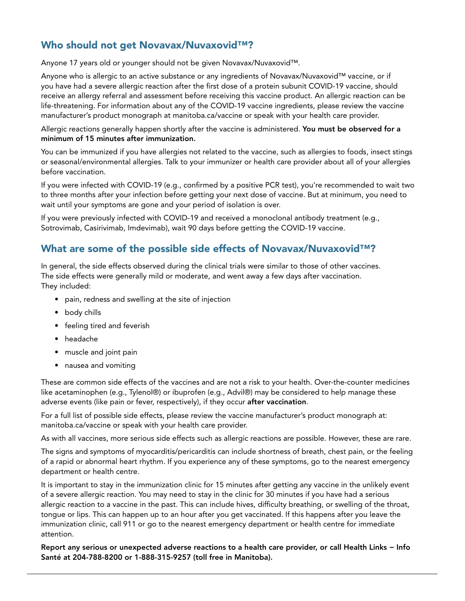## Who should not get Novavax/Nuvaxovid™?

Anyone 17 years old or younger should not be given Novavax/Nuvaxovid™.

Anyone who is allergic to an active substance or any ingredients of Novavax/Nuvaxovid™ vaccine, or if you have had a severe allergic reaction after the first dose of a protein subunit COVID-19 vaccine, should receive an allergy referral and assessment before receiving this vaccine product. An allergic reaction can be life-threatening. For information about any of the COVID-19 vaccine ingredients, please review the vaccine manufacturer's product monograph at manitoba.ca/vaccine or speak with your health care provider.

Allergic reactions generally happen shortly after the vaccine is administered. You must be observed for a minimum of 15 minutes after immunization.

You can be immunized if you have allergies not related to the vaccine, such as allergies to foods, insect stings or seasonal/environmental allergies. Talk to your immunizer or health care provider about all of your allergies before vaccination.

If you were infected with COVID-19 (e.g., confirmed by a positive PCR test), you're recommended to wait two to three months after your infection before getting your next dose of vaccine. But at minimum, you need to wait until your symptoms are gone and your period of isolation is over.

If you were previously infected with COVID-19 and received a monoclonal antibody treatment (e.g., Sotrovimab, Casirivimab, Imdevimab), wait 90 days before getting the COVID-19 vaccine.

## What are some of the possible side effects of Novavax/Nuvaxovid™?

In general, the side effects observed during the clinical trials were similar to those of other vaccines. The side effects were generally mild or moderate, and went away a few days after vaccination. They included:

- pain, redness and swelling at the site of injection
- body chills
- feeling tired and feverish
- headache
- muscle and joint pain
- nausea and vomiting

These are common side effects of the vaccines and are not a risk to your health. Over-the-counter medicines like acetaminophen (e.g., Tylenol®) or ibuprofen (e.g., Advil®) may be considered to help manage these adverse events (like pain or fever, respectively), if they occur after vaccination.

For a full list of possible side effects, please review the vaccine manufacturer's product monograph at: manitoba.ca/vaccine or speak with your health care provider.

As with all vaccines, more serious side effects such as allergic reactions are possible. However, these are rare.

The signs and symptoms of myocarditis/pericarditis can include shortness of breath, chest pain, or the feeling of a rapid or abnormal heart rhythm. If you experience any of these symptoms, go to the nearest emergency department or health centre.

It is important to stay in the immunization clinic for 15 minutes after getting any vaccine in the unlikely event of a severe allergic reaction. You may need to stay in the clinic for 30 minutes if you have had a serious allergic reaction to a vaccine in the past. This can include hives, difficulty breathing, or swelling of the throat, tongue or lips. This can happen up to an hour after you get vaccinated. If this happens after you leave the immunization clinic, call 911 or go to the nearest emergency department or health centre for immediate attention.

Report any serious or unexpected adverse reactions to a health care provider, or call Health Links − Info Santé at 204-788-8200 or 1-888-315-9257 (toll free in Manitoba).